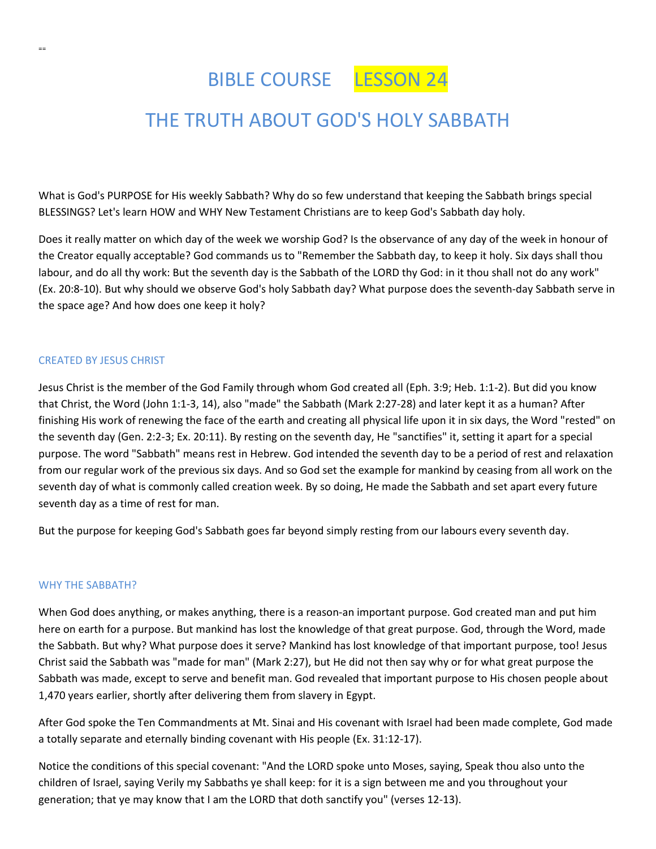# BIBLE COURSE LESSON 24

# THE TRUTH ABOUT GOD'S HOLY SABBATH

What is God's PURPOSE for His weekly Sabbath? Why do so few understand that keeping the Sabbath brings special BLESSINGS? Let's learn HOW and WHY New Testament Christians are to keep God's Sabbath day holy.

Does it really matter on which day of the week we worship God? Is the observance of any day of the week in honour of the Creator equally acceptable? God commands us to "Remember the Sabbath day, to keep it holy. Six days shall thou labour, and do all thy work: But the seventh day is the Sabbath of the LORD thy God: in it thou shall not do any work" (Ex. 20:8-10). But why should we observe God's holy Sabbath day? What purpose does the seventh-day Sabbath serve in the space age? And how does one keep it holy?

#### CREATED BY JESUS CHRIST

Jesus Christ is the member of the God Family through whom God created all (Eph. 3:9; Heb. 1:1-2). But did you know that Christ, the Word (John 1:1-3, 14), also "made" the Sabbath (Mark 2:27-28) and later kept it as a human? After finishing His work of renewing the face of the earth and creating all physical life upon it in six days, the Word "rested" on the seventh day (Gen. 2:2-3; Ex. 20:11). By resting on the seventh day, He "sanctifies" it, setting it apart for a special purpose. The word "Sabbath" means rest in Hebrew. God intended the seventh day to be a period of rest and relaxation from our regular work of the previous six days. And so God set the example for mankind by ceasing from all work on the seventh day of what is commonly called creation week. By so doing, He made the Sabbath and set apart every future seventh day as a time of rest for man.

But the purpose for keeping God's Sabbath goes far beyond simply resting from our labours every seventh day.

#### WHY THE SABBATH?

When God does anything, or makes anything, there is a reason-an important purpose. God created man and put him here on earth for a purpose. But mankind has lost the knowledge of that great purpose. God, through the Word, made the Sabbath. But why? What purpose does it serve? Mankind has lost knowledge of that important purpose, too! Jesus Christ said the Sabbath was "made for man" (Mark 2:27), but He did not then say why or for what great purpose the Sabbath was made, except to serve and benefit man. God revealed that important purpose to His chosen people about 1,470 years earlier, shortly after delivering them from slavery in Egypt.

After God spoke the Ten Commandments at Mt. Sinai and His covenant with Israel had been made complete, God made a totally separate and eternally binding covenant with His people (Ex. 31:12-17).

Notice the conditions of this special covenant: "And the LORD spoke unto Moses, saying, Speak thou also unto the children of Israel, saying Verily my Sabbaths ye shall keep: for it is a sign between me and you throughout your generation; that ye may know that I am the LORD that doth sanctify you" (verses 12-13).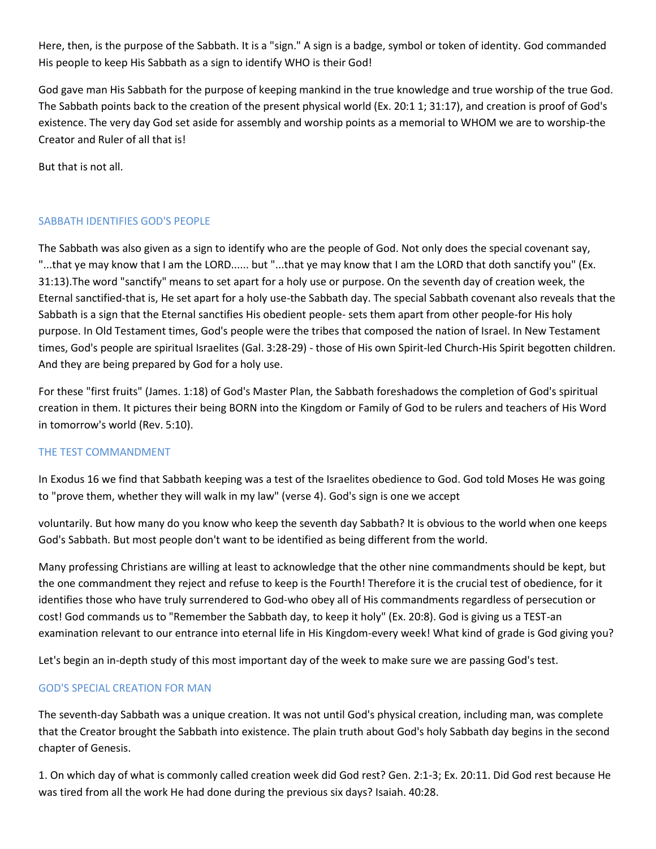Here, then, is the purpose of the Sabbath. It is a "sign." A sign is a badge, symbol or token of identity. God commanded His people to keep His Sabbath as a sign to identify WHO is their God!

God gave man His Sabbath for the purpose of keeping mankind in the true knowledge and true worship of the true God. The Sabbath points back to the creation of the present physical world (Ex. 20:1 1; 31:17), and creation is proof of God's existence. The very day God set aside for assembly and worship points as a memorial to WHOM we are to worship-the Creator and Ruler of all that is!

But that is not all.

## SABBATH IDENTIFIES GOD'S PEOPLE

The Sabbath was also given as a sign to identify who are the people of God. Not only does the special covenant say, "...that ye may know that I am the LORD...... but "...that ye may know that I am the LORD that doth sanctify you" (Ex. 31:13).The word "sanctify" means to set apart for a holy use or purpose. On the seventh day of creation week, the Eternal sanctified-that is, He set apart for a holy use-the Sabbath day. The special Sabbath covenant also reveals that the Sabbath is a sign that the Eternal sanctifies His obedient people- sets them apart from other people-for His holy purpose. In Old Testament times, God's people were the tribes that composed the nation of Israel. In New Testament times, God's people are spiritual Israelites (Gal. 3:28-29) - those of His own Spirit-led Church-His Spirit begotten children. And they are being prepared by God for a holy use.

For these "first fruits" (James. 1:18) of God's Master Plan, the Sabbath foreshadows the completion of God's spiritual creation in them. It pictures their being BORN into the Kingdom or Family of God to be rulers and teachers of His Word in tomorrow's world (Rev. 5:10).

### THE TEST COMMANDMENT

In Exodus 16 we find that Sabbath keeping was a test of the Israelites obedience to God. God told Moses He was going to "prove them, whether they will walk in my law" (verse 4). God's sign is one we accept

voluntarily. But how many do you know who keep the seventh day Sabbath? It is obvious to the world when one keeps God's Sabbath. But most people don't want to be identified as being different from the world.

Many professing Christians are willing at least to acknowledge that the other nine commandments should be kept, but the one commandment they reject and refuse to keep is the Fourth! Therefore it is the crucial test of obedience, for it identifies those who have truly surrendered to God-who obey all of His commandments regardless of persecution or cost! God commands us to "Remember the Sabbath day, to keep it holy" (Ex. 20:8). God is giving us a TEST-an examination relevant to our entrance into eternal life in His Kingdom-every week! What kind of grade is God giving you?

Let's begin an in-depth study of this most important day of the week to make sure we are passing God's test.

### GOD'S SPECIAL CREATION FOR MAN

The seventh-day Sabbath was a unique creation. It was not until God's physical creation, including man, was complete that the Creator brought the Sabbath into existence. The plain truth about God's holy Sabbath day begins in the second chapter of Genesis.

1. On which day of what is commonly called creation week did God rest? Gen. 2:1-3; Ex. 20:11. Did God rest because He was tired from all the work He had done during the previous six days? Isaiah. 40:28.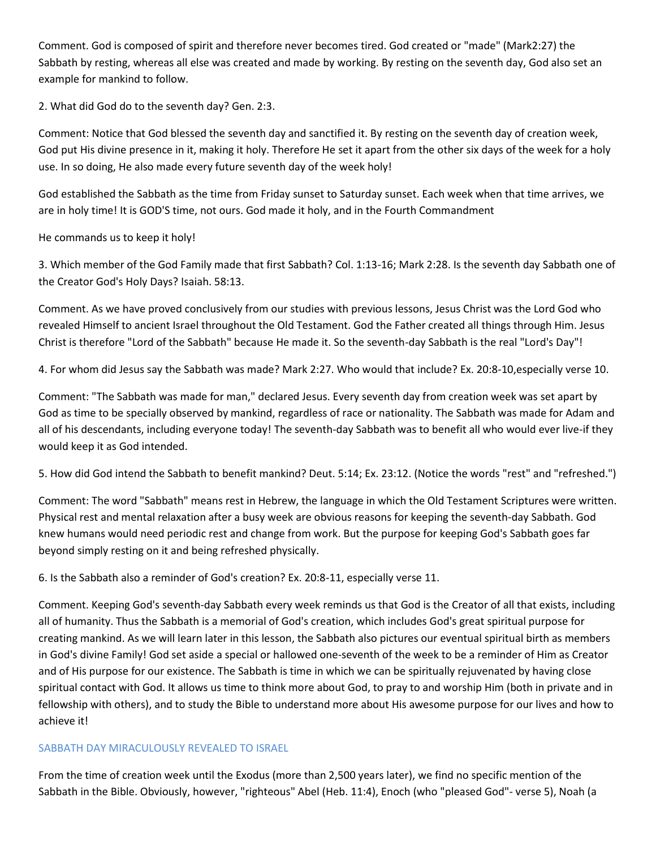Comment. God is composed of spirit and therefore never becomes tired. God created or "made" (Mark2:27) the Sabbath by resting, whereas all else was created and made by working. By resting on the seventh day, God also set an example for mankind to follow.

2. What did God do to the seventh day? Gen. 2:3.

Comment: Notice that God blessed the seventh day and sanctified it. By resting on the seventh day of creation week, God put His divine presence in it, making it holy. Therefore He set it apart from the other six days of the week for a holy use. In so doing, He also made every future seventh day of the week holy!

God established the Sabbath as the time from Friday sunset to Saturday sunset. Each week when that time arrives, we are in holy time! It is GOD'S time, not ours. God made it holy, and in the Fourth Commandment

He commands us to keep it holy!

3. Which member of the God Family made that first Sabbath? Col. 1:13-16; Mark 2:28. Is the seventh day Sabbath one of the Creator God's Holy Days? Isaiah. 58:13.

Comment. As we have proved conclusively from our studies with previous lessons, Jesus Christ was the Lord God who revealed Himself to ancient Israel throughout the Old Testament. God the Father created all things through Him. Jesus Christ is therefore "Lord of the Sabbath" because He made it. So the seventh-day Sabbath is the real "Lord's Day"!

4. For whom did Jesus say the Sabbath was made? Mark 2:27. Who would that include? Ex. 20:8-10,especially verse 10.

Comment: "The Sabbath was made for man," declared Jesus. Every seventh day from creation week was set apart by God as time to be specially observed by mankind, regardless of race or nationality. The Sabbath was made for Adam and all of his descendants, including everyone today! The seventh-day Sabbath was to benefit all who would ever live-if they would keep it as God intended.

5. How did God intend the Sabbath to benefit mankind? Deut. 5:14; Ex. 23:12. (Notice the words "rest" and "refreshed.")

Comment: The word "Sabbath" means rest in Hebrew, the language in which the Old Testament Scriptures were written. Physical rest and mental relaxation after a busy week are obvious reasons for keeping the seventh-day Sabbath. God knew humans would need periodic rest and change from work. But the purpose for keeping God's Sabbath goes far beyond simply resting on it and being refreshed physically.

6. Is the Sabbath also a reminder of God's creation? Ex. 20:8-11, especially verse 11.

Comment. Keeping God's seventh-day Sabbath every week reminds us that God is the Creator of all that exists, including all of humanity. Thus the Sabbath is a memorial of God's creation, which includes God's great spiritual purpose for creating mankind. As we will learn later in this lesson, the Sabbath also pictures our eventual spiritual birth as members in God's divine Family! God set aside a special or hallowed one-seventh of the week to be a reminder of Him as Creator and of His purpose for our existence. The Sabbath is time in which we can be spiritually rejuvenated by having close spiritual contact with God. It allows us time to think more about God, to pray to and worship Him (both in private and in fellowship with others), and to study the Bible to understand more about His awesome purpose for our lives and how to achieve it!

### SABBATH DAY MIRACULOUSLY REVEALED TO ISRAEL

From the time of creation week until the Exodus (more than 2,500 years later), we find no specific mention of the Sabbath in the Bible. Obviously, however, "righteous" Abel (Heb. 11:4), Enoch (who "pleased God"- verse 5), Noah (a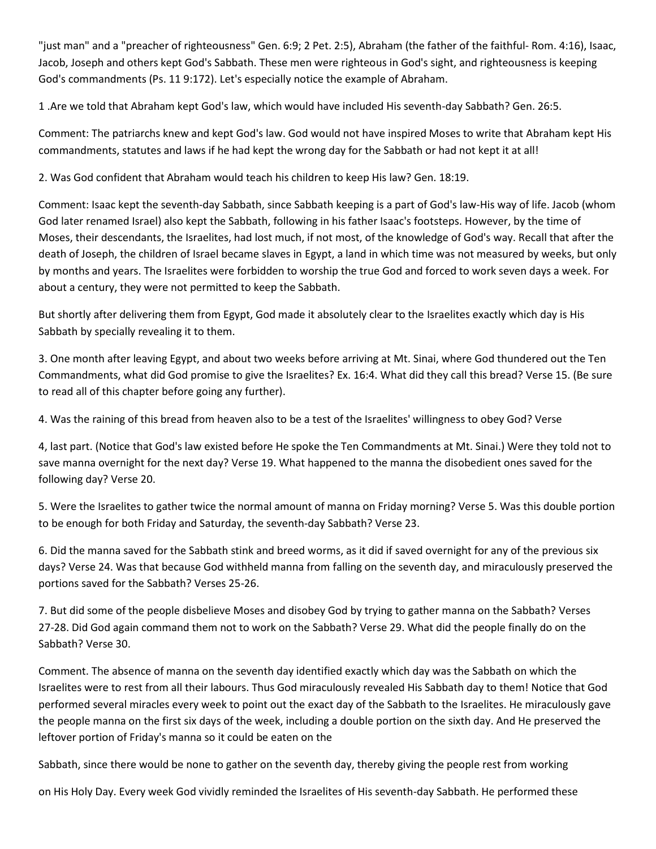"just man" and a "preacher of righteousness" Gen. 6:9; 2 Pet. 2:5), Abraham (the father of the faithful- Rom. 4:16), Isaac, Jacob, Joseph and others kept God's Sabbath. These men were righteous in God's sight, and righteousness is keeping God's commandments (Ps. 11 9:172). Let's especially notice the example of Abraham.

1 .Are we told that Abraham kept God's law, which would have included His seventh-day Sabbath? Gen. 26:5.

Comment: The patriarchs knew and kept God's law. God would not have inspired Moses to write that Abraham kept His commandments, statutes and laws if he had kept the wrong day for the Sabbath or had not kept it at all!

2. Was God confident that Abraham would teach his children to keep His law? Gen. 18:19.

Comment: Isaac kept the seventh-day Sabbath, since Sabbath keeping is a part of God's law-His way of life. Jacob (whom God later renamed Israel) also kept the Sabbath, following in his father Isaac's footsteps. However, by the time of Moses, their descendants, the Israelites, had lost much, if not most, of the knowledge of God's way. Recall that after the death of Joseph, the children of Israel became slaves in Egypt, a land in which time was not measured by weeks, but only by months and years. The Israelites were forbidden to worship the true God and forced to work seven days a week. For about a century, they were not permitted to keep the Sabbath.

But shortly after delivering them from Egypt, God made it absolutely clear to the Israelites exactly which day is His Sabbath by specially revealing it to them.

3. One month after leaving Egypt, and about two weeks before arriving at Mt. Sinai, where God thundered out the Ten Commandments, what did God promise to give the Israelites? Ex. 16:4. What did they call this bread? Verse 15. (Be sure to read all of this chapter before going any further).

4. Was the raining of this bread from heaven also to be a test of the Israelites' willingness to obey God? Verse

4, last part. (Notice that God's law existed before He spoke the Ten Commandments at Mt. Sinai.) Were they told not to save manna overnight for the next day? Verse 19. What happened to the manna the disobedient ones saved for the following day? Verse 20.

5. Were the Israelites to gather twice the normal amount of manna on Friday morning? Verse 5. Was this double portion to be enough for both Friday and Saturday, the seventh-day Sabbath? Verse 23.

6. Did the manna saved for the Sabbath stink and breed worms, as it did if saved overnight for any of the previous six days? Verse 24. Was that because God withheld manna from falling on the seventh day, and miraculously preserved the portions saved for the Sabbath? Verses 25-26.

7. But did some of the people disbelieve Moses and disobey God by trying to gather manna on the Sabbath? Verses 27-28. Did God again command them not to work on the Sabbath? Verse 29. What did the people finally do on the Sabbath? Verse 30.

Comment. The absence of manna on the seventh day identified exactly which day was the Sabbath on which the Israelites were to rest from all their labours. Thus God miraculously revealed His Sabbath day to them! Notice that God performed several miracles every week to point out the exact day of the Sabbath to the Israelites. He miraculously gave the people manna on the first six days of the week, including a double portion on the sixth day. And He preserved the leftover portion of Friday's manna so it could be eaten on the

Sabbath, since there would be none to gather on the seventh day, thereby giving the people rest from working

on His Holy Day. Every week God vividly reminded the Israelites of His seventh-day Sabbath. He performed these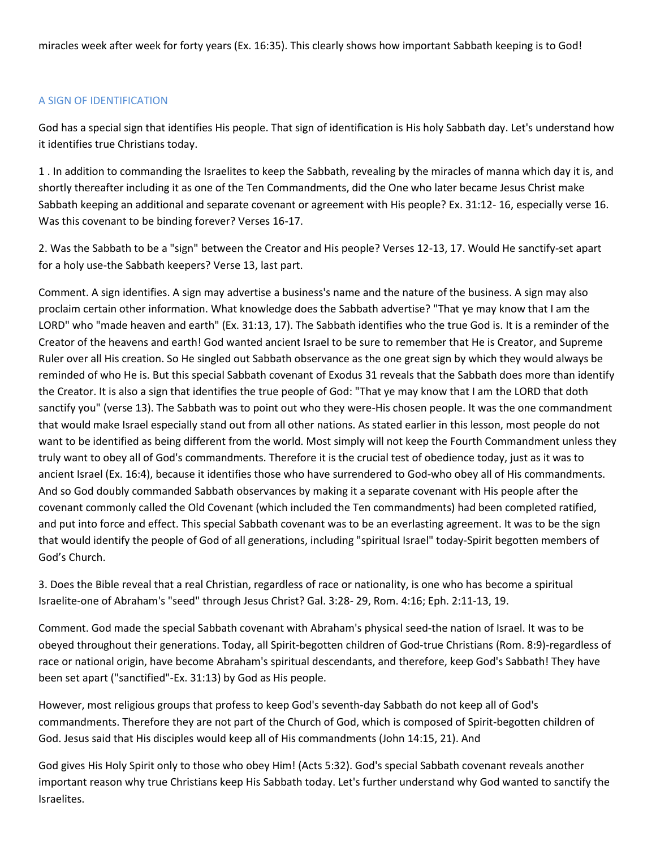miracles week after week for forty years (Ex. 16:35). This clearly shows how important Sabbath keeping is to God!

### A SIGN OF IDENTIFICATION

God has a special sign that identifies His people. That sign of identification is His holy Sabbath day. Let's understand how it identifies true Christians today.

1 . In addition to commanding the Israelites to keep the Sabbath, revealing by the miracles of manna which day it is, and shortly thereafter including it as one of the Ten Commandments, did the One who later became Jesus Christ make Sabbath keeping an additional and separate covenant or agreement with His people? Ex. 31:12- 16, especially verse 16. Was this covenant to be binding forever? Verses 16-17.

2. Was the Sabbath to be a "sign" between the Creator and His people? Verses 12-13, 17. Would He sanctify-set apart for a holy use-the Sabbath keepers? Verse 13, last part.

Comment. A sign identifies. A sign may advertise a business's name and the nature of the business. A sign may also proclaim certain other information. What knowledge does the Sabbath advertise? "That ye may know that I am the LORD" who "made heaven and earth" (Ex. 31:13, 17). The Sabbath identifies who the true God is. It is a reminder of the Creator of the heavens and earth! God wanted ancient Israel to be sure to remember that He is Creator, and Supreme Ruler over all His creation. So He singled out Sabbath observance as the one great sign by which they would always be reminded of who He is. But this special Sabbath covenant of Exodus 31 reveals that the Sabbath does more than identify the Creator. It is also a sign that identifies the true people of God: "That ye may know that I am the LORD that doth sanctify you" (verse 13). The Sabbath was to point out who they were-His chosen people. It was the one commandment that would make Israel especially stand out from all other nations. As stated earlier in this lesson, most people do not want to be identified as being different from the world. Most simply will not keep the Fourth Commandment unless they truly want to obey all of God's commandments. Therefore it is the crucial test of obedience today, just as it was to ancient Israel (Ex. 16:4), because it identifies those who have surrendered to God-who obey all of His commandments. And so God doubly commanded Sabbath observances by making it a separate covenant with His people after the covenant commonly called the Old Covenant (which included the Ten commandments) had been completed ratified, and put into force and effect. This special Sabbath covenant was to be an everlasting agreement. It was to be the sign that would identify the people of God of all generations, including "spiritual Israel" today-Spirit begotten members of God's Church.

3. Does the Bible reveal that a real Christian, regardless of race or nationality, is one who has become a spiritual Israelite-one of Abraham's "seed" through Jesus Christ? Gal. 3:28- 29, Rom. 4:16; Eph. 2:11-13, 19.

Comment. God made the special Sabbath covenant with Abraham's physical seed-the nation of Israel. It was to be obeyed throughout their generations. Today, all Spirit-begotten children of God-true Christians (Rom. 8:9)-regardless of race or national origin, have become Abraham's spiritual descendants, and therefore, keep God's Sabbath! They have been set apart ("sanctified"-Ex. 31:13) by God as His people.

However, most religious groups that profess to keep God's seventh-day Sabbath do not keep all of God's commandments. Therefore they are not part of the Church of God, which is composed of Spirit-begotten children of God. Jesus said that His disciples would keep all of His commandments (John 14:15, 21). And

God gives His Holy Spirit only to those who obey Him! (Acts 5:32). God's special Sabbath covenant reveals another important reason why true Christians keep His Sabbath today. Let's further understand why God wanted to sanctify the Israelites.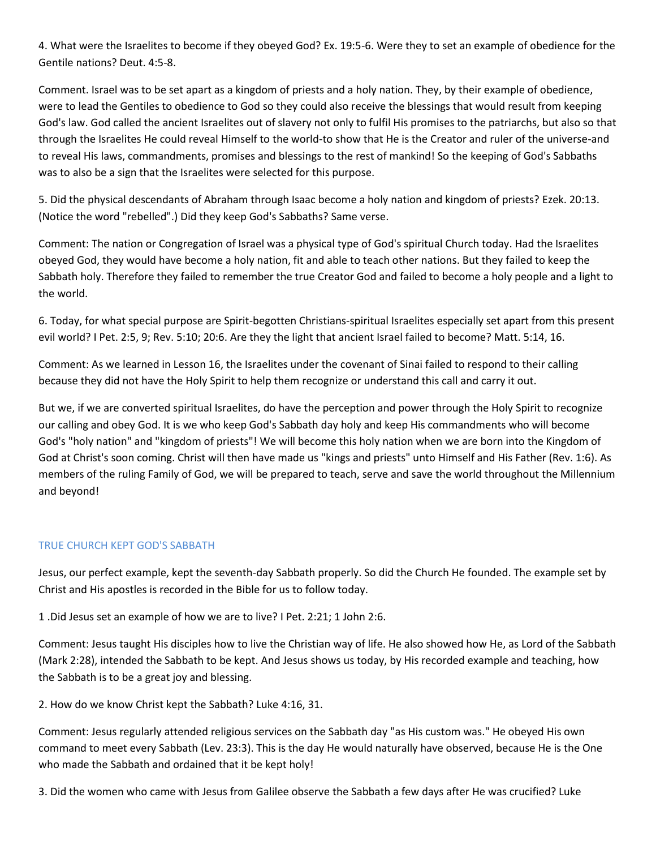4. What were the Israelites to become if they obeyed God? Ex. 19:5-6. Were they to set an example of obedience for the Gentile nations? Deut. 4:5-8.

Comment. Israel was to be set apart as a kingdom of priests and a holy nation. They, by their example of obedience, were to lead the Gentiles to obedience to God so they could also receive the blessings that would result from keeping God's law. God called the ancient Israelites out of slavery not only to fulfil His promises to the patriarchs, but also so that through the Israelites He could reveal Himself to the world-to show that He is the Creator and ruler of the universe-and to reveal His laws, commandments, promises and blessings to the rest of mankind! So the keeping of God's Sabbaths was to also be a sign that the Israelites were selected for this purpose.

5. Did the physical descendants of Abraham through Isaac become a holy nation and kingdom of priests? Ezek. 20:13. (Notice the word "rebelled".) Did they keep God's Sabbaths? Same verse.

Comment: The nation or Congregation of Israel was a physical type of God's spiritual Church today. Had the Israelites obeyed God, they would have become a holy nation, fit and able to teach other nations. But they failed to keep the Sabbath holy. Therefore they failed to remember the true Creator God and failed to become a holy people and a light to the world.

6. Today, for what special purpose are Spirit-begotten Christians-spiritual Israelites especially set apart from this present evil world? I Pet. 2:5, 9; Rev. 5:10; 20:6. Are they the light that ancient Israel failed to become? Matt. 5:14, 16.

Comment: As we learned in Lesson 16, the Israelites under the covenant of Sinai failed to respond to their calling because they did not have the Holy Spirit to help them recognize or understand this call and carry it out.

But we, if we are converted spiritual Israelites, do have the perception and power through the Holy Spirit to recognize our calling and obey God. It is we who keep God's Sabbath day holy and keep His commandments who will become God's "holy nation" and "kingdom of priests"! We will become this holy nation when we are born into the Kingdom of God at Christ's soon coming. Christ will then have made us "kings and priests" unto Himself and His Father (Rev. 1:6). As members of the ruling Family of God, we will be prepared to teach, serve and save the world throughout the Millennium and beyond!

### TRUE CHURCH KEPT GOD'S SABBATH

Jesus, our perfect example, kept the seventh-day Sabbath properly. So did the Church He founded. The example set by Christ and His apostles is recorded in the Bible for us to follow today.

1 .Did Jesus set an example of how we are to live? I Pet. 2:21; 1 John 2:6.

Comment: Jesus taught His disciples how to live the Christian way of life. He also showed how He, as Lord of the Sabbath (Mark 2:28), intended the Sabbath to be kept. And Jesus shows us today, by His recorded example and teaching, how the Sabbath is to be a great joy and blessing.

2. How do we know Christ kept the Sabbath? Luke 4:16, 31.

Comment: Jesus regularly attended religious services on the Sabbath day "as His custom was." He obeyed His own command to meet every Sabbath (Lev. 23:3). This is the day He would naturally have observed, because He is the One who made the Sabbath and ordained that it be kept holy!

3. Did the women who came with Jesus from Galilee observe the Sabbath a few days after He was crucified? Luke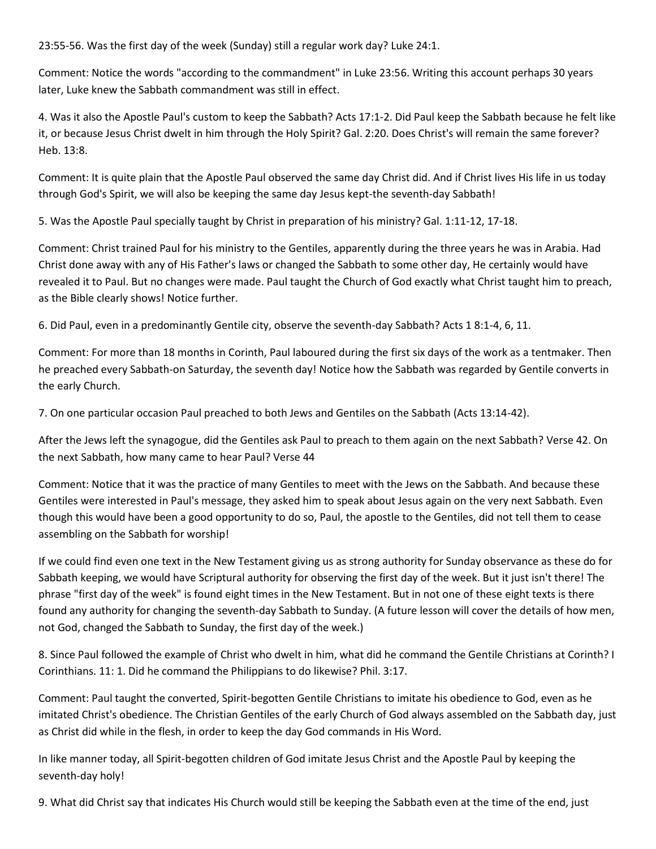23:55-56. Was the first day of the week (Sunday) still a regular work day? Luke 24:1.

Comment: Notice the words "according to the commandment" in Luke 23:56. Writing this account perhaps 30 years later, Luke knew the Sabbath commandment was still in effect.

4. Was it also the Apostle Paul's custom to keep the Sabbath? Acts 17:1-2. Did Paul keep the Sabbath because he felt like it, or because Jesus Christ dwelt in him through the Holy Spirit? Gal. 2:20. Does Christ's will remain the same forever? Heb. 13:8.

Comment: It is quite plain that the Apostle Paul observed the same day Christ did. And if Christ lives His life in us today through God's Spirit, we will also be keeping the same day Jesus kept-the seventh-day Sabbath!

5. Was the Apostle Paul specially taught by Christ in preparation of his ministry? Gal. 1:11-12, 17-18.

Comment: Christ trained Paul for his ministry to the Gentiles, apparently during the three years he was in Arabia. Had Christ done away with any of His Father's laws or changed the Sabbath to some other day, He certainly would have revealed it to Paul. But no changes were made. Paul taught the Church of God exactly what Christ taught him to preach, as the Bible clearly shows! Notice further.

6. Did Paul, even in a predominantly Gentile city, observe the seventh-day Sabbath? Acts 1 8:1-4, 6, 11.

Comment: For more than 18 months in Corinth, Paul laboured during the first six days of the work as a tentmaker. Then he preached every Sabbath-on Saturday, the seventh day! Notice how the Sabbath was regarded by Gentile converts in the early Church.

7. On one particular occasion Paul preached to both Jews and Gentiles on the Sabbath (Acts 13:14-42).

After the Jews left the synagogue, did the Gentiles ask Paul to preach to them again on the next Sabbath? Verse 42. On the next Sabbath, how many came to hear Paul? Verse 44

Comment: Notice that it was the practice of many Gentiles to meet with the Jews on the Sabbath. And because these Gentiles were interested in Paul's message, they asked him to speak about Jesus again on the very next Sabbath. Even though this would have been a good opportunity to do so, Paul, the apostle to the Gentiles, did not tell them to cease assembling on the Sabbath for worship!

If we could find even one text in the New Testament giving us as strong authority for Sunday observance as these do for Sabbath keeping, we would have Scriptural authority for observing the first day of the week. But it just isn't there! The phrase "first day of the week" is found eight times in the New Testament. But in not one of these eight texts is there found any authority for changing the seventh-day Sabbath to Sunday. (A future lesson will cover the details of how men, not God, changed the Sabbath to Sunday, the first day of the week.)

8. Since Paul followed the example of Christ who dwelt in him, what did he command the Gentile Christians at Corinth? I Corinthians. 11: 1. Did he command the Philippians to do likewise? Phil. 3:17.

Comment: Paul taught the converted, Spirit-begotten Gentile Christians to imitate his obedience to God, even as he imitated Christ's obedience. The Christian Gentiles of the early Church of God always assembled on the Sabbath day, just as Christ did while in the flesh, in order to keep the day God commands in His Word.

In like manner today, all Spirit-begotten children of God imitate Jesus Christ and the Apostle Paul by keeping the seventh-day holy!

9. What did Christ say that indicates His Church would still be keeping the Sabbath even at the time of the end, just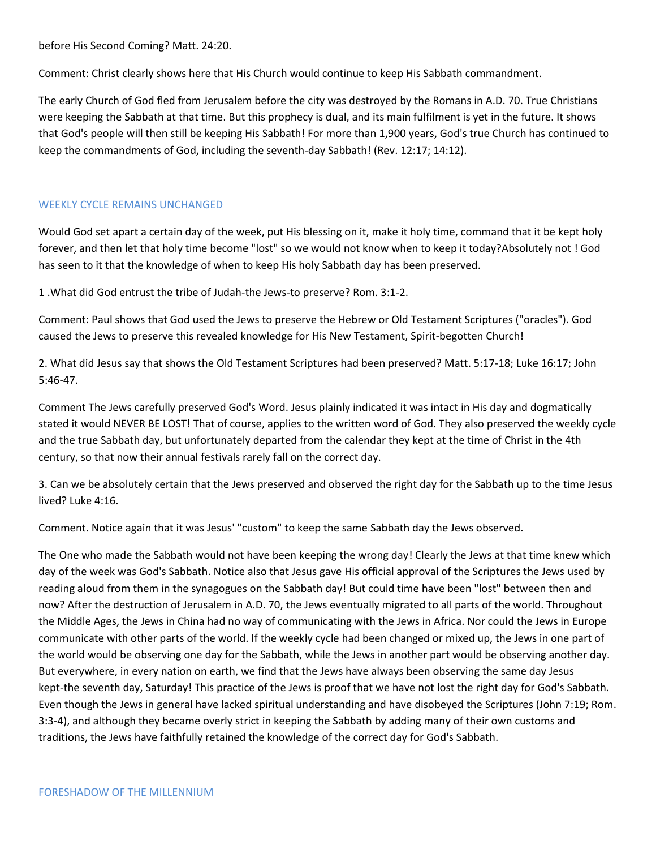before His Second Coming? Matt. 24:20.

Comment: Christ clearly shows here that His Church would continue to keep His Sabbath commandment.

The early Church of God fled from Jerusalem before the city was destroyed by the Romans in A.D. 70. True Christians were keeping the Sabbath at that time. But this prophecy is dual, and its main fulfilment is yet in the future. It shows that God's people will then still be keeping His Sabbath! For more than 1,900 years, God's true Church has continued to keep the commandments of God, including the seventh-day Sabbath! (Rev. 12:17; 14:12).

#### WEEKLY CYCLE REMAINS UNCHANGED

Would God set apart a certain day of the week, put His blessing on it, make it holy time, command that it be kept holy forever, and then let that holy time become "lost" so we would not know when to keep it today?Absolutely not ! God has seen to it that the knowledge of when to keep His holy Sabbath day has been preserved.

1 .What did God entrust the tribe of Judah-the Jews-to preserve? Rom. 3:1-2.

Comment: Paul shows that God used the Jews to preserve the Hebrew or Old Testament Scriptures ("oracles"). God caused the Jews to preserve this revealed knowledge for His New Testament, Spirit-begotten Church!

2. What did Jesus say that shows the Old Testament Scriptures had been preserved? Matt. 5:17-18; Luke 16:17; John 5:46-47.

Comment The Jews carefully preserved God's Word. Jesus plainly indicated it was intact in His day and dogmatically stated it would NEVER BE LOST! That of course, applies to the written word of God. They also preserved the weekly cycle and the true Sabbath day, but unfortunately departed from the calendar they kept at the time of Christ in the 4th century, so that now their annual festivals rarely fall on the correct day.

3. Can we be absolutely certain that the Jews preserved and observed the right day for the Sabbath up to the time Jesus lived? Luke 4:16.

Comment. Notice again that it was Jesus' "custom" to keep the same Sabbath day the Jews observed.

The One who made the Sabbath would not have been keeping the wrong day! Clearly the Jews at that time knew which day of the week was God's Sabbath. Notice also that Jesus gave His official approval of the Scriptures the Jews used by reading aloud from them in the synagogues on the Sabbath day! But could time have been "lost" between then and now? After the destruction of Jerusalem in A.D. 70, the Jews eventually migrated to all parts of the world. Throughout the Middle Ages, the Jews in China had no way of communicating with the Jews in Africa. Nor could the Jews in Europe communicate with other parts of the world. If the weekly cycle had been changed or mixed up, the Jews in one part of the world would be observing one day for the Sabbath, while the Jews in another part would be observing another day. But everywhere, in every nation on earth, we find that the Jews have always been observing the same day Jesus kept-the seventh day, Saturday! This practice of the Jews is proof that we have not lost the right day for God's Sabbath. Even though the Jews in general have lacked spiritual understanding and have disobeyed the Scriptures (John 7:19; Rom. 3:3-4), and although they became overly strict in keeping the Sabbath by adding many of their own customs and traditions, the Jews have faithfully retained the knowledge of the correct day for God's Sabbath.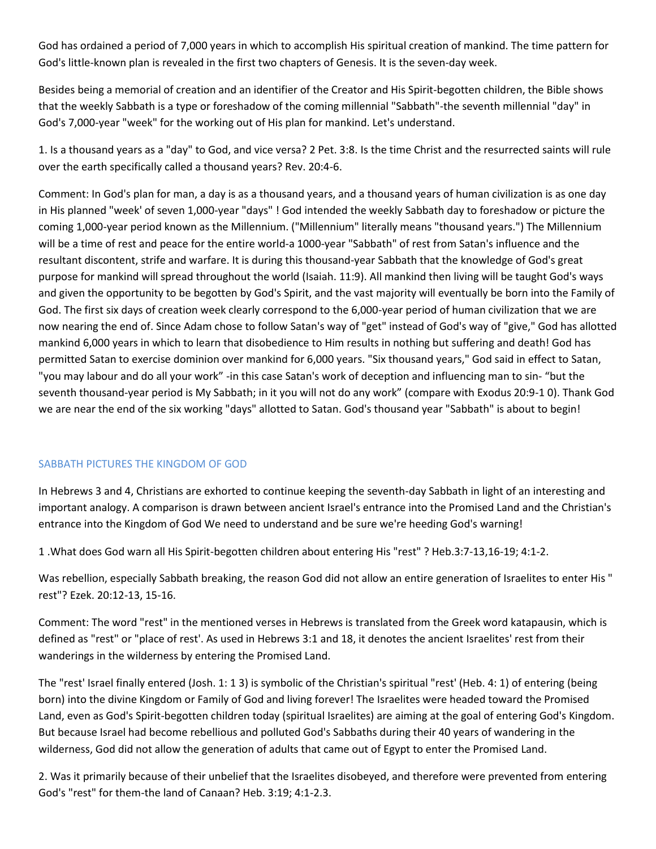God has ordained a period of 7,000 years in which to accomplish His spiritual creation of mankind. The time pattern for God's little-known plan is revealed in the first two chapters of Genesis. It is the seven-day week.

Besides being a memorial of creation and an identifier of the Creator and His Spirit-begotten children, the Bible shows that the weekly Sabbath is a type or foreshadow of the coming millennial "Sabbath"-the seventh millennial "day" in God's 7,000-year "week" for the working out of His plan for mankind. Let's understand.

1. Is a thousand years as a "day" to God, and vice versa? 2 Pet. 3:8. Is the time Christ and the resurrected saints will rule over the earth specifically called a thousand years? Rev. 20:4-6.

Comment: In God's plan for man, a day is as a thousand years, and a thousand years of human civilization is as one day in His planned "week' of seven 1,000-year "days" ! God intended the weekly Sabbath day to foreshadow or picture the coming 1,000-year period known as the Millennium. ("Millennium" literally means "thousand years.") The Millennium will be a time of rest and peace for the entire world-a 1000-year "Sabbath" of rest from Satan's influence and the resultant discontent, strife and warfare. It is during this thousand-year Sabbath that the knowledge of God's great purpose for mankind will spread throughout the world (Isaiah. 11:9). All mankind then living will be taught God's ways and given the opportunity to be begotten by God's Spirit, and the vast majority will eventually be born into the Family of God. The first six days of creation week clearly correspond to the 6,000-year period of human civilization that we are now nearing the end of. Since Adam chose to follow Satan's way of "get" instead of God's way of "give," God has allotted mankind 6,000 years in which to learn that disobedience to Him results in nothing but suffering and death! God has permitted Satan to exercise dominion over mankind for 6,000 years. "Six thousand years," God said in effect to Satan, "you may labour and do all your work" -in this case Satan's work of deception and influencing man to sin- "but the seventh thousand-year period is My Sabbath; in it you will not do any work" (compare with Exodus 20:9-1 0). Thank God we are near the end of the six working "days" allotted to Satan. God's thousand year "Sabbath" is about to begin!

### SABBATH PICTURES THE KINGDOM OF GOD

In Hebrews 3 and 4, Christians are exhorted to continue keeping the seventh-day Sabbath in light of an interesting and important analogy. A comparison is drawn between ancient Israel's entrance into the Promised Land and the Christian's entrance into the Kingdom of God We need to understand and be sure we're heeding God's warning!

1 .What does God warn all His Spirit-begotten children about entering His "rest" ? Heb.3:7-13,16-19; 4:1-2.

Was rebellion, especially Sabbath breaking, the reason God did not allow an entire generation of Israelites to enter His " rest"? Ezek. 20:12-13, 15-16.

Comment: The word "rest" in the mentioned verses in Hebrews is translated from the Greek word katapausin, which is defined as "rest" or "place of rest'. As used in Hebrews 3:1 and 18, it denotes the ancient Israelites' rest from their wanderings in the wilderness by entering the Promised Land.

The "rest' Israel finally entered (Josh. 1: 1 3) is symbolic of the Christian's spiritual "rest' (Heb. 4: 1) of entering (being born) into the divine Kingdom or Family of God and living forever! The Israelites were headed toward the Promised Land, even as God's Spirit-begotten children today (spiritual Israelites) are aiming at the goal of entering God's Kingdom. But because Israel had become rebellious and polluted God's Sabbaths during their 40 years of wandering in the wilderness, God did not allow the generation of adults that came out of Egypt to enter the Promised Land.

2. Was it primarily because of their unbelief that the Israelites disobeyed, and therefore were prevented from entering God's "rest" for them-the land of Canaan? Heb. 3:19; 4:1-2.3.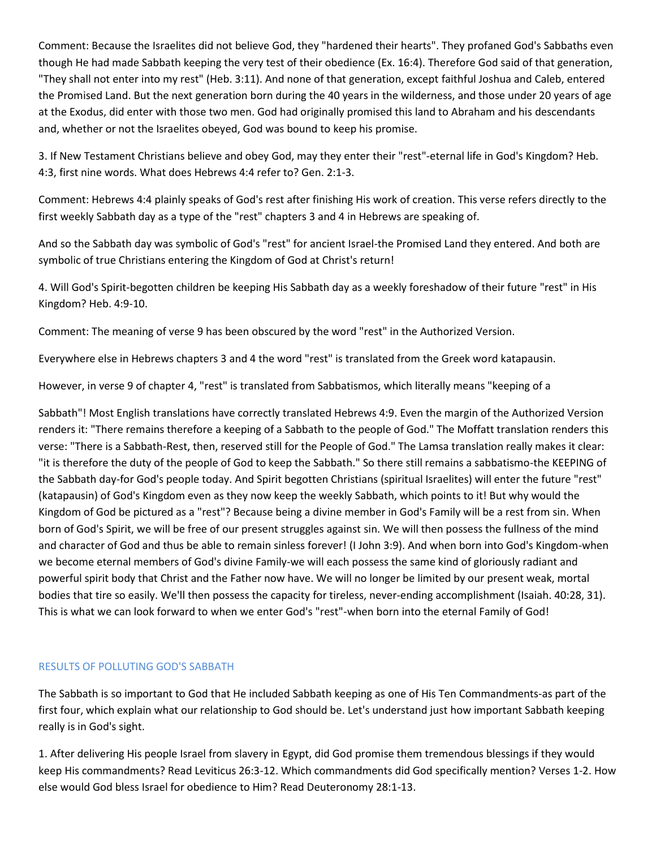Comment: Because the Israelites did not believe God, they "hardened their hearts". They profaned God's Sabbaths even though He had made Sabbath keeping the very test of their obedience (Ex. 16:4). Therefore God said of that generation, "They shall not enter into my rest" (Heb. 3:11). And none of that generation, except faithful Joshua and Caleb, entered the Promised Land. But the next generation born during the 40 years in the wilderness, and those under 20 years of age at the Exodus, did enter with those two men. God had originally promised this land to Abraham and his descendants and, whether or not the Israelites obeyed, God was bound to keep his promise.

3. If New Testament Christians believe and obey God, may they enter their "rest"-eternal life in God's Kingdom? Heb. 4:3, first nine words. What does Hebrews 4:4 refer to? Gen. 2:1-3.

Comment: Hebrews 4:4 plainly speaks of God's rest after finishing His work of creation. This verse refers directly to the first weekly Sabbath day as a type of the "rest" chapters 3 and 4 in Hebrews are speaking of.

And so the Sabbath day was symbolic of God's "rest" for ancient Israel-the Promised Land they entered. And both are symbolic of true Christians entering the Kingdom of God at Christ's return!

4. Will God's Spirit-begotten children be keeping His Sabbath day as a weekly foreshadow of their future "rest" in His Kingdom? Heb. 4:9-10.

Comment: The meaning of verse 9 has been obscured by the word "rest" in the Authorized Version.

Everywhere else in Hebrews chapters 3 and 4 the word "rest" is translated from the Greek word katapausin.

However, in verse 9 of chapter 4, "rest" is translated from Sabbatismos, which literally means "keeping of a

Sabbath"! Most English translations have correctly translated Hebrews 4:9. Even the margin of the Authorized Version renders it: "There remains therefore a keeping of a Sabbath to the people of God." The Moffatt translation renders this verse: "There is a Sabbath-Rest, then, reserved still for the People of God." The Lamsa translation really makes it clear: "it is therefore the duty of the people of God to keep the Sabbath." So there still remains a sabbatismo-the KEEPING of the Sabbath day-for God's people today. And Spirit begotten Christians (spiritual Israelites) will enter the future "rest" (katapausin) of God's Kingdom even as they now keep the weekly Sabbath, which points to it! But why would the Kingdom of God be pictured as a "rest"? Because being a divine member in God's Family will be a rest from sin. When born of God's Spirit, we will be free of our present struggles against sin. We will then possess the fullness of the mind and character of God and thus be able to remain sinless forever! (I John 3:9). And when born into God's Kingdom-when we become eternal members of God's divine Family-we will each possess the same kind of gloriously radiant and powerful spirit body that Christ and the Father now have. We will no longer be limited by our present weak, mortal bodies that tire so easily. We'll then possess the capacity for tireless, never-ending accomplishment (Isaiah. 40:28, 31). This is what we can look forward to when we enter God's "rest"-when born into the eternal Family of God!

### RESULTS OF POLLUTING GOD'S SABBATH

The Sabbath is so important to God that He included Sabbath keeping as one of His Ten Commandments-as part of the first four, which explain what our relationship to God should be. Let's understand just how important Sabbath keeping really is in God's sight.

1. After delivering His people Israel from slavery in Egypt, did God promise them tremendous blessings if they would keep His commandments? Read Leviticus 26:3-12. Which commandments did God specifically mention? Verses 1-2. How else would God bless Israel for obedience to Him? Read Deuteronomy 28:1-13.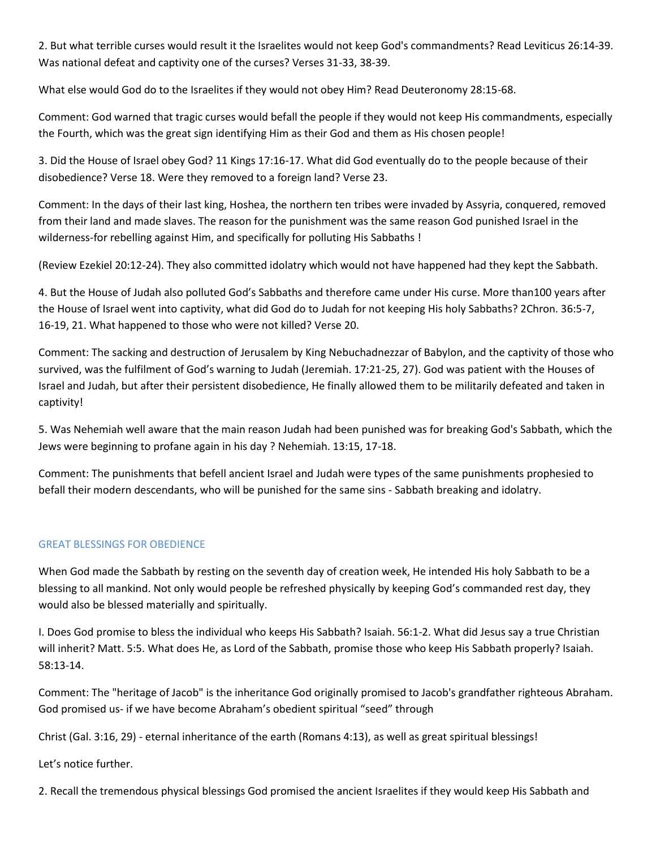2. But what terrible curses would result it the Israelites would not keep God's commandments? Read Leviticus 26:14-39. Was national defeat and captivity one of the curses? Verses 31-33, 38-39.

What else would God do to the Israelites if they would not obey Him? Read Deuteronomy 28:15-68.

Comment: God warned that tragic curses would befall the people if they would not keep His commandments, especially the Fourth, which was the great sign identifying Him as their God and them as His chosen people!

3. Did the House of Israel obey God? 11 Kings 17:16-17. What did God eventually do to the people because of their disobedience? Verse 18. Were they removed to a foreign land? Verse 23.

Comment: In the days of their last king, Hoshea, the northern ten tribes were invaded by Assyria, conquered, removed from their land and made slaves. The reason for the punishment was the same reason God punished Israel in the wilderness-for rebelling against Him, and specifically for polluting His Sabbaths !

(Review Ezekiel 20:12-24). They also committed idolatry which would not have happened had they kept the Sabbath.

4. But the House of Judah also polluted God's Sabbaths and therefore came under His curse. More than100 years after the House of Israel went into captivity, what did God do to Judah for not keeping His holy Sabbaths? 2Chron. 36:5-7, 16-19, 21. What happened to those who were not killed? Verse 20.

Comment: The sacking and destruction of Jerusalem by King Nebuchadnezzar of Babylon, and the captivity of those who survived, was the fulfilment of God's warning to Judah (Jeremiah. 17:21-25, 27). God was patient with the Houses of Israel and Judah, but after their persistent disobedience, He finally allowed them to be militarily defeated and taken in captivity!

5. Was Nehemiah well aware that the main reason Judah had been punished was for breaking God's Sabbath, which the Jews were beginning to profane again in his day ? Nehemiah. 13:15, 17-18.

Comment: The punishments that befell ancient Israel and Judah were types of the same punishments prophesied to befall their modern descendants, who will be punished for the same sins - Sabbath breaking and idolatry.

#### GREAT BLESSINGS FOR OBEDIENCE

When God made the Sabbath by resting on the seventh day of creation week, He intended His holy Sabbath to be a blessing to all mankind. Not only would people be refreshed physically by keeping God's commanded rest day, they would also be blessed materially and spiritually.

I. Does God promise to bless the individual who keeps His Sabbath? Isaiah. 56:1-2. What did Jesus say a true Christian will inherit? Matt. 5:5. What does He, as Lord of the Sabbath, promise those who keep His Sabbath properly? Isaiah. 58:13-14.

Comment: The "heritage of Jacob" is the inheritance God originally promised to Jacob's grandfather righteous Abraham. God promised us- if we have become Abraham's obedient spiritual "seed" through

Christ (Gal. 3:16, 29) - eternal inheritance of the earth (Romans 4:13), as well as great spiritual blessings!

Let's notice further.

2. Recall the tremendous physical blessings God promised the ancient Israelites if they would keep His Sabbath and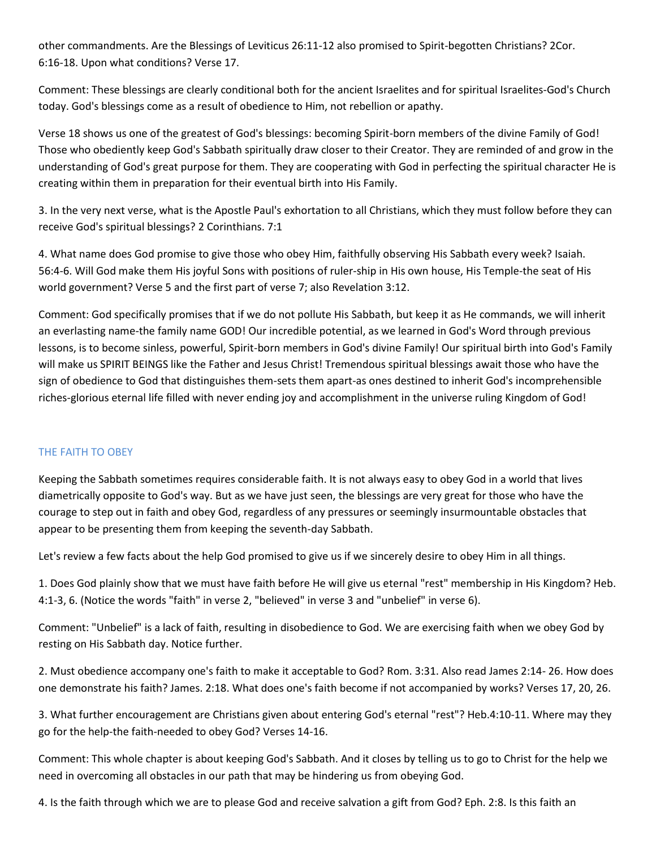other commandments. Are the Blessings of Leviticus 26:11-12 also promised to Spirit-begotten Christians? 2Cor. 6:16-18. Upon what conditions? Verse 17.

Comment: These blessings are clearly conditional both for the ancient Israelites and for spiritual Israelites-God's Church today. God's blessings come as a result of obedience to Him, not rebellion or apathy.

Verse 18 shows us one of the greatest of God's blessings: becoming Spirit-born members of the divine Family of God! Those who obediently keep God's Sabbath spiritually draw closer to their Creator. They are reminded of and grow in the understanding of God's great purpose for them. They are cooperating with God in perfecting the spiritual character He is creating within them in preparation for their eventual birth into His Family.

3. In the very next verse, what is the Apostle Paul's exhortation to all Christians, which they must follow before they can receive God's spiritual blessings? 2 Corinthians. 7:1

4. What name does God promise to give those who obey Him, faithfully observing His Sabbath every week? Isaiah. 56:4-6. Will God make them His joyful Sons with positions of ruler-ship in His own house, His Temple-the seat of His world government? Verse 5 and the first part of verse 7; also Revelation 3:12.

Comment: God specifically promises that if we do not pollute His Sabbath, but keep it as He commands, we will inherit an everlasting name-the family name GOD! Our incredible potential, as we learned in God's Word through previous lessons, is to become sinless, powerful, Spirit-born members in God's divine Family! Our spiritual birth into God's Family will make us SPIRIT BEINGS like the Father and Jesus Christ! Tremendous spiritual blessings await those who have the sign of obedience to God that distinguishes them-sets them apart-as ones destined to inherit God's incomprehensible riches-glorious eternal life filled with never ending joy and accomplishment in the universe ruling Kingdom of God!

### THE FAITH TO OBEY

Keeping the Sabbath sometimes requires considerable faith. It is not always easy to obey God in a world that lives diametrically opposite to God's way. But as we have just seen, the blessings are very great for those who have the courage to step out in faith and obey God, regardless of any pressures or seemingly insurmountable obstacles that appear to be presenting them from keeping the seventh-day Sabbath.

Let's review a few facts about the help God promised to give us if we sincerely desire to obey Him in all things.

1. Does God plainly show that we must have faith before He will give us eternal "rest" membership in His Kingdom? Heb. 4:1-3, 6. (Notice the words "faith" in verse 2, "believed" in verse 3 and "unbelief" in verse 6).

Comment: "Unbelief" is a lack of faith, resulting in disobedience to God. We are exercising faith when we obey God by resting on His Sabbath day. Notice further.

2. Must obedience accompany one's faith to make it acceptable to God? Rom. 3:31. Also read James 2:14- 26. How does one demonstrate his faith? James. 2:18. What does one's faith become if not accompanied by works? Verses 17, 20, 26.

3. What further encouragement are Christians given about entering God's eternal "rest"? Heb.4:10-11. Where may they go for the help-the faith-needed to obey God? Verses 14-16.

Comment: This whole chapter is about keeping God's Sabbath. And it closes by telling us to go to Christ for the help we need in overcoming all obstacles in our path that may be hindering us from obeying God.

4. Is the faith through which we are to please God and receive salvation a gift from God? Eph. 2:8. Is this faith an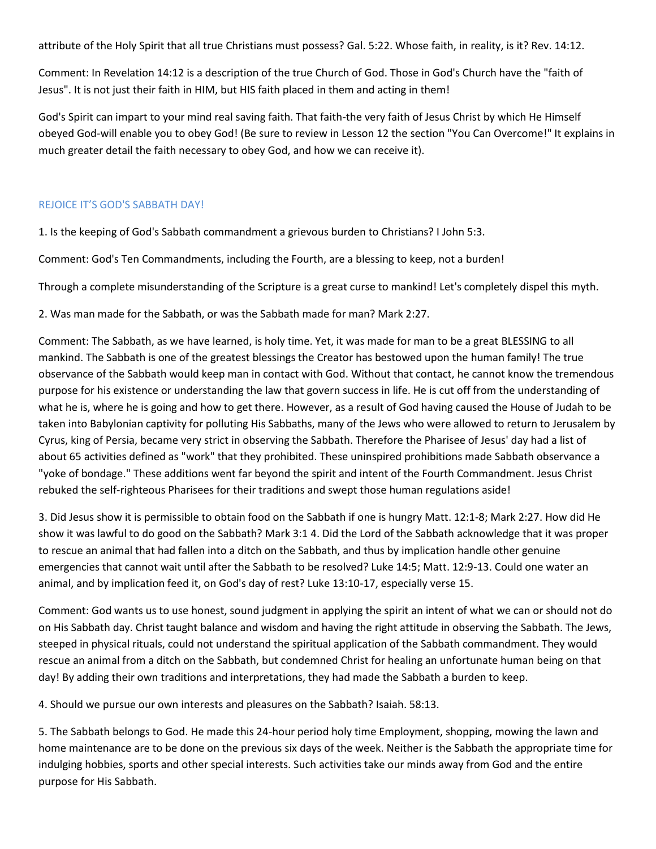attribute of the Holy Spirit that all true Christians must possess? Gal. 5:22. Whose faith, in reality, is it? Rev. 14:12.

Comment: In Revelation 14:12 is a description of the true Church of God. Those in God's Church have the "faith of Jesus". It is not just their faith in HIM, but HIS faith placed in them and acting in them!

God's Spirit can impart to your mind real saving faith. That faith-the very faith of Jesus Christ by which He Himself obeyed God-will enable you to obey God! (Be sure to review in Lesson 12 the section "You Can Overcome!" It explains in much greater detail the faith necessary to obey God, and how we can receive it).

#### REJOICE IT'S GOD'S SABBATH DAY!

1. Is the keeping of God's Sabbath commandment a grievous burden to Christians? I John 5:3.

Comment: God's Ten Commandments, including the Fourth, are a blessing to keep, not a burden!

Through a complete misunderstanding of the Scripture is a great curse to mankind! Let's completely dispel this myth.

2. Was man made for the Sabbath, or was the Sabbath made for man? Mark 2:27.

Comment: The Sabbath, as we have learned, is holy time. Yet, it was made for man to be a great BLESSING to all mankind. The Sabbath is one of the greatest blessings the Creator has bestowed upon the human family! The true observance of the Sabbath would keep man in contact with God. Without that contact, he cannot know the tremendous purpose for his existence or understanding the law that govern success in life. He is cut off from the understanding of what he is, where he is going and how to get there. However, as a result of God having caused the House of Judah to be taken into Babylonian captivity for polluting His Sabbaths, many of the Jews who were allowed to return to Jerusalem by Cyrus, king of Persia, became very strict in observing the Sabbath. Therefore the Pharisee of Jesus' day had a list of about 65 activities defined as "work" that they prohibited. These uninspired prohibitions made Sabbath observance a "yoke of bondage." These additions went far beyond the spirit and intent of the Fourth Commandment. Jesus Christ rebuked the self-righteous Pharisees for their traditions and swept those human regulations aside!

3. Did Jesus show it is permissible to obtain food on the Sabbath if one is hungry Matt. 12:1-8; Mark 2:27. How did He show it was lawful to do good on the Sabbath? Mark 3:1 4. Did the Lord of the Sabbath acknowledge that it was proper to rescue an animal that had fallen into a ditch on the Sabbath, and thus by implication handle other genuine emergencies that cannot wait until after the Sabbath to be resolved? Luke 14:5; Matt. 12:9-13. Could one water an animal, and by implication feed it, on God's day of rest? Luke 13:10-17, especially verse 15.

Comment: God wants us to use honest, sound judgment in applying the spirit an intent of what we can or should not do on His Sabbath day. Christ taught balance and wisdom and having the right attitude in observing the Sabbath. The Jews, steeped in physical rituals, could not understand the spiritual application of the Sabbath commandment. They would rescue an animal from a ditch on the Sabbath, but condemned Christ for healing an unfortunate human being on that day! By adding their own traditions and interpretations, they had made the Sabbath a burden to keep.

4. Should we pursue our own interests and pleasures on the Sabbath? Isaiah. 58:13.

5. The Sabbath belongs to God. He made this 24-hour period holy time Employment, shopping, mowing the lawn and home maintenance are to be done on the previous six days of the week. Neither is the Sabbath the appropriate time for indulging hobbies, sports and other special interests. Such activities take our minds away from God and the entire purpose for His Sabbath.